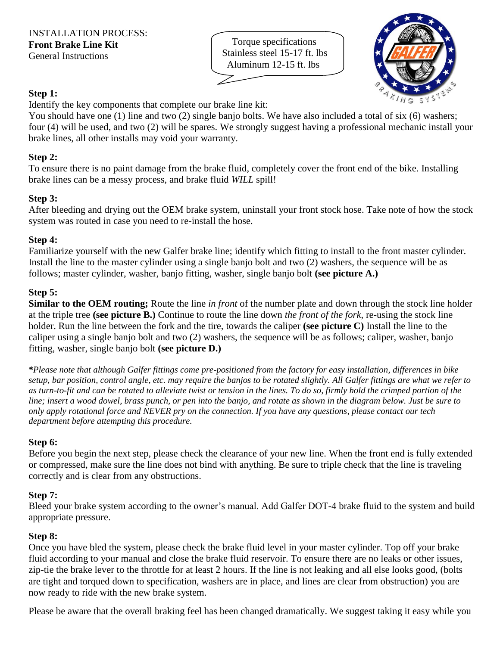Torque specifications Stainless steel 15-17 ft. lbs Aluminum 12-15 ft. lbs



## **Step 1:**

Identify the key components that complete our brake line kit:

You should have one (1) line and two (2) single banjo bolts. We have also included a total of six (6) washers; four (4) will be used, and two (2) will be spares. We strongly suggest having a professional mechanic install your brake lines, all other installs may void your warranty.

### **Step 2:**

To ensure there is no paint damage from the brake fluid, completely cover the front end of the bike. Installing brake lines can be a messy process, and brake fluid *WILL* spill!

## **Step 3:**

After bleeding and drying out the OEM brake system, uninstall your front stock hose. Take note of how the stock system was routed in case you need to re-install the hose.

### **Step 4:**

Familiarize yourself with the new Galfer brake line; identify which fitting to install to the front master cylinder. Install the line to the master cylinder using a single banjo bolt and two (2) washers, the sequence will be as follows; master cylinder, washer, banjo fitting, washer, single banjo bolt **(see picture A.)**

## **Step 5:**

**Similar to the OEM routing;** Route the line *in front* of the number plate and down through the stock line holder at the triple tree **(see picture B.)** Continue to route the line down *the front of the fork*, re-using the stock line holder. Run the line between the fork and the tire, towards the caliper **(see picture C)** Install the line to the caliper using a single banjo bolt and two (2) washers, the sequence will be as follows; caliper, washer, banjo fitting, washer, single banjo bolt **(see picture D.)**

*\*Please note that although Galfer fittings come pre-positioned from the factory for easy installation, differences in bike setup, bar position, control angle, etc. may require the banjos to be rotated slightly. All Galfer fittings are what we refer to as turn-to-fit and can be rotated to alleviate twist or tension in the lines. To do so, firmly hold the crimped portion of the line; insert a wood dowel, brass punch, or pen into the banjo, and rotate as shown in the diagram below. Just be sure to only apply rotational force and NEVER pry on the connection. If you have any questions, please contact our tech department before attempting this procedure.*

# **Step 6:**

Before you begin the next step, please check the clearance of your new line. When the front end is fully extended or compressed, make sure the line does not bind with anything. Be sure to triple check that the line is traveling correctly and is clear from any obstructions.

# **Step 7:**

Bleed your brake system according to the owner's manual. Add Galfer DOT-4 brake fluid to the system and build appropriate pressure.

### **Step 8:**

Once you have bled the system, please check the brake fluid level in your master cylinder. Top off your brake fluid according to your manual and close the brake fluid reservoir. To ensure there are no leaks or other issues, zip-tie the brake lever to the throttle for at least 2 hours. If the line is not leaking and all else looks good, (bolts are tight and torqued down to specification, washers are in place, and lines are clear from obstruction) you are now ready to ride with the new brake system.

Please be aware that the overall braking feel has been changed dramatically. We suggest taking it easy while you